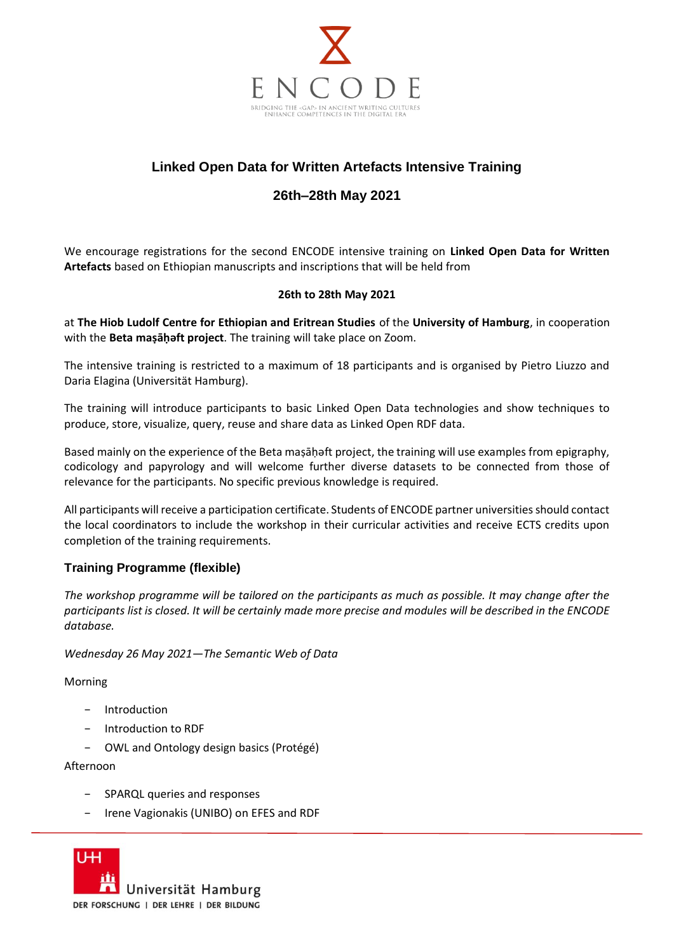

# **Linked Open Data for Written Artefacts Intensive Training**

## **26th–28th May 2021**

We encourage registrations for the second ENCODE intensive training on **Linked Open Data for Written Artefacts** based on Ethiopian manuscripts and inscriptions that will be held from

#### **26th to 28th May 2021**

at **The Hiob Ludolf Centre for Ethiopian and Eritrean Studies** of the **University of Hamburg**, in cooperation with the **Beta maṣāḥǝft project**. The training will take place on Zoom.

The intensive training is restricted to a maximum of 18 participants and is organised by Pietro Liuzzo and Daria Elagina (Universität Hamburg).

The training will introduce participants to basic Linked Open Data technologies and show techniques to produce, store, visualize, query, reuse and share data as Linked Open RDF data.

Based mainly on the experience of the Beta maṣāḥǝft project, the training will use examples from epigraphy, codicology and papyrology and will welcome further diverse datasets to be connected from those of relevance for the participants. No specific previous knowledge is required.

All participants will receive a participation certificate. Students of ENCODE partner universities should contact the local coordinators to include the workshop in their curricular activities and receive ECTS credits upon completion of the training requirements.

#### **Training Programme (flexible)**

*The workshop programme will be tailored on the participants as much as possible. It may change after the participants list is closed. It will be certainly made more precise and modules will be described in the ENCODE database.*

*Wednesday 26 May 2021—The Semantic Web of Data*

Morning

- − Introduction
- − Introduction to RDF
- − OWL and Ontology design basics (Protégé)

Afternoon

- − SPARQL queries and responses
- − Irene Vagionakis (UNIBO) on EFES and RDF

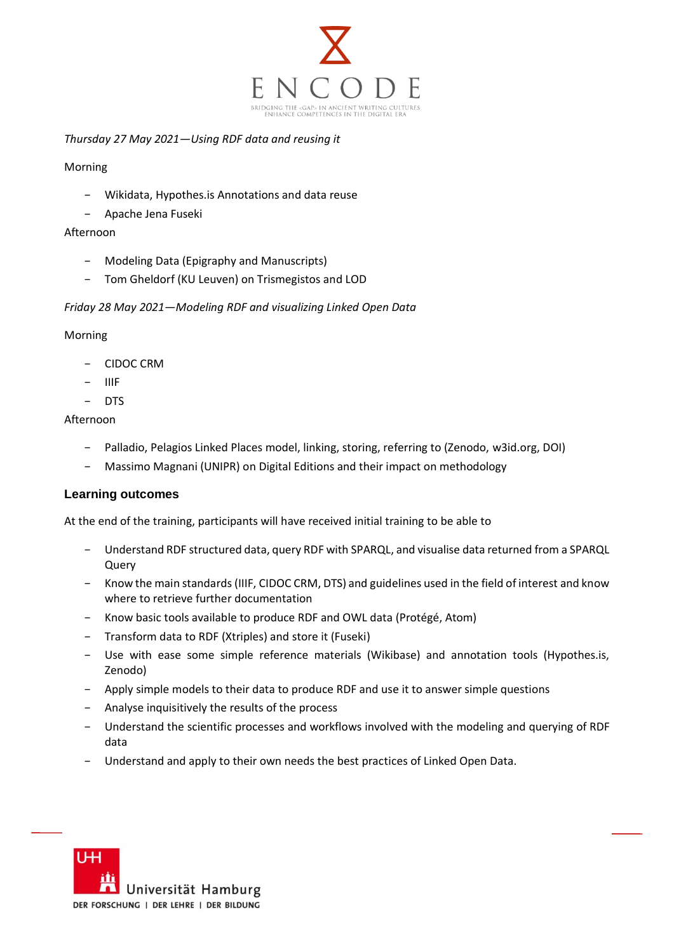

#### *Thursday 27 May 2021—Using RDF data and reusing it*

#### Morning

- − Wikidata, Hypothes.is Annotations and data reuse
- − Apache Jena Fuseki

#### Afternoon

- − Modeling Data (Epigraphy and Manuscripts)
- − Tom Gheldorf (KU Leuven) on Trismegistos and LOD

#### *Friday 28 May 2021—Modeling RDF and visualizing Linked Open Data*

#### Morning

- − CIDOC CRM
- − IIIF
- − DTS

#### Afternoon

- − Palladio, Pelagios Linked Places model, linking, storing, referring to (Zenodo, w3id.org, DOI)
- − Massimo Magnani (UNIPR) on Digital Editions and their impact on methodology

#### **Learning outcomes**

At the end of the training, participants will have received initial training to be able to

- − Understand RDF structured data, query RDF with SPARQL, and visualise data returned from a SPARQL Query
- − Know the main standards (IIIF, CIDOC CRM, DTS) and guidelines used in the field of interest and know where to retrieve further documentation
- − Know basic tools available to produce RDF and OWL data (Protégé, Atom)
- − Transform data to RDF (Xtriples) and store it (Fuseki)
- − Use with ease some simple reference materials (Wikibase) and annotation tools (Hypothes.is, Zenodo)
- − Apply simple models to their data to produce RDF and use it to answer simple questions
- Analyse inquisitively the results of the process
- Understand the scientific processes and workflows involved with the modeling and querying of RDF data
- Understand and apply to their own needs the best practices of Linked Open Data.

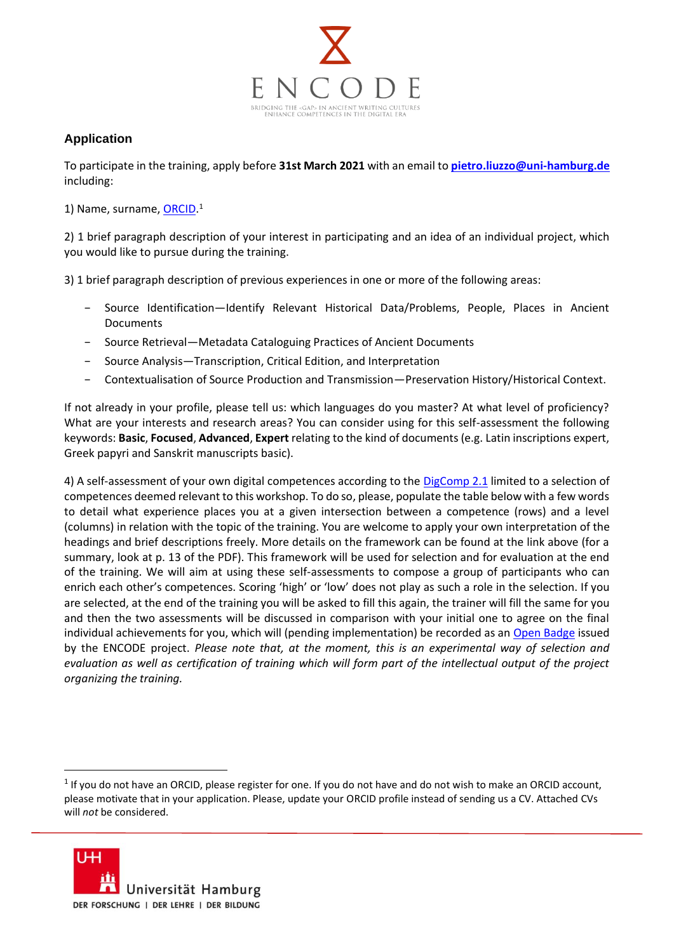

### **Application**

To participate in the training, apply before **31st March 2021** with an email to **[pietro.liuzzo@uni-hamburg.de](mailto:pietro.liuzzo@uni-hamburg.de)** including:

1) Name, surname, **ORCID**.<sup>1</sup>

2) 1 brief paragraph description of your interest in participating and an idea of an individual project, which you would like to pursue during the training.

3) 1 brief paragraph description of previous experiences in one or more of the following areas:

- − Source Identification—Identify Relevant Historical Data/Problems, People, Places in Ancient Documents
- − Source Retrieval—Metadata Cataloguing Practices of Ancient Documents
- − Source Analysis—Transcription, Critical Edition, and Interpretation
- − Contextualisation of Source Production and Transmission—Preservation History/Historical Context.

If not already in your profile, please tell us: which languages do you master? At what level of proficiency? What are your interests and research areas? You can consider using for this self-assessment the following keywords: **Basic**, **Focused**, **Advanced**, **Expert** relating to the kind of documents (e.g. Latin inscriptions expert, Greek papyri and Sanskrit manuscripts basic).

4) A self-assessment of your own digital competences according to the [DigComp 2.1](https://ec.europa.eu/jrc/en/publication/eur-scientific-and-technical-research-reports/digcomp-21-digital-competence-framework-citizens-eight-proficiency-levels-and-examples-use) limited to a selection of competences deemed relevant to this workshop. To do so, please, populate the table below with a few words to detail what experience places you at a given intersection between a competence (rows) and a level (columns) in relation with the topic of the training. You are welcome to apply your own interpretation of the headings and brief descriptions freely. More details on the framework can be found at the link above (for a summary, look at p. 13 of the PDF). This framework will be used for selection and for evaluation at the end of the training. We will aim at using these self-assessments to compose a group of participants who can enrich each other's competences. Scoring 'high' or 'low' does not play as such a role in the selection. If you are selected, at the end of the training you will be asked to fill this again, the trainer will fill the same for you and then the two assessments will be discussed in comparison with your initial one to agree on the final individual achievements for you, which will (pending implementation) be recorded as an [Open Badge](https://openbadges.org/) issued by the ENCODE project. *Please note that, at the moment, this is an experimental way of selection and evaluation as well as certification of training which will form part of the intellectual output of the project organizing the training.*

 $1$  If you do not have an ORCID, please register for one. If you do not have and do not wish to make an ORCID account, please motivate that in your application. Please, update your ORCID profile instead of sending us a CV. Attached CVs will *not* be considered.

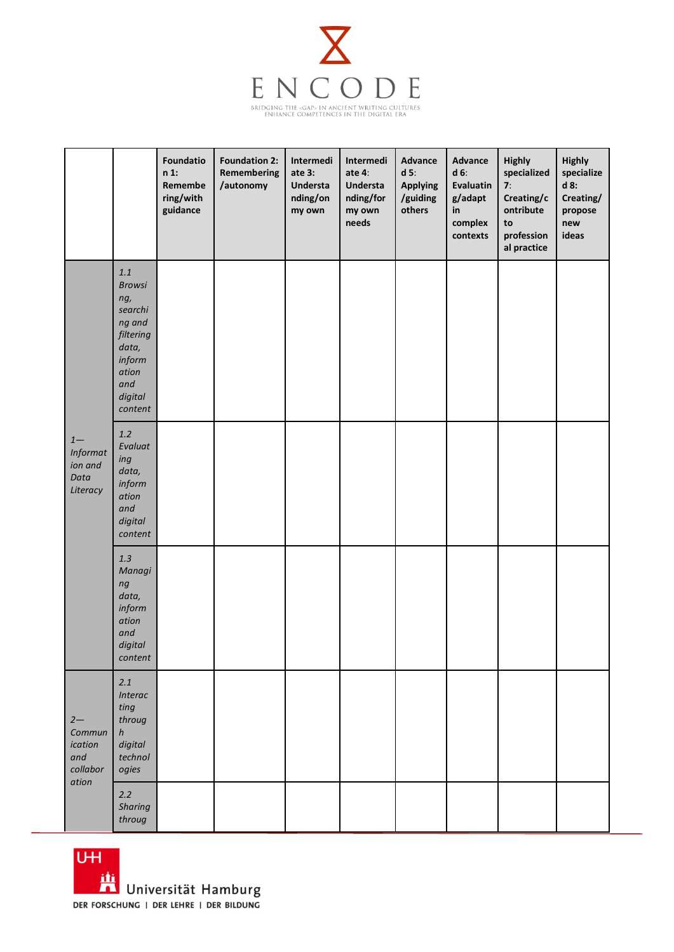

|                                                        |                                                                                                                            | Foundatio<br>$n1$ :<br>Remembe<br>ring/with<br>guidance | <b>Foundation 2:</b><br>Remembering<br>/autonomy | Intermedi<br>ate 3:<br>Understa<br>nding/on<br>my own | Intermedi<br>ate 4:<br><b>Understa</b><br>nding/for<br>my own<br>needs | <b>Advance</b><br>$d$ 5:<br><b>Applying</b><br>/guiding<br>others | Advance<br>$d6$ :<br>Evaluatin<br>g/adapt<br>in<br>complex<br>contexts | <b>Highly</b><br>specialized<br>7:<br>Creating/c<br>ontribute<br>to<br>profession<br>al practice | Highly<br>specialize<br>d 8:<br>Creating/<br>propose<br>new<br>ideas |
|--------------------------------------------------------|----------------------------------------------------------------------------------------------------------------------------|---------------------------------------------------------|--------------------------------------------------|-------------------------------------------------------|------------------------------------------------------------------------|-------------------------------------------------------------------|------------------------------------------------------------------------|--------------------------------------------------------------------------------------------------|----------------------------------------------------------------------|
| $1-$<br>Informat<br>ion and<br>Data<br>Literacy        | $1.1\,$<br><b>Browsi</b><br>ng,<br>searchi<br>ng and<br>filtering<br>data,<br>inform<br>ation<br>and<br>digital<br>content |                                                         |                                                  |                                                       |                                                                        |                                                                   |                                                                        |                                                                                                  |                                                                      |
|                                                        | $1.2$<br>Evaluat<br>ing<br>data,<br>inform<br>ation<br>and<br>digital<br>content                                           |                                                         |                                                  |                                                       |                                                                        |                                                                   |                                                                        |                                                                                                  |                                                                      |
|                                                        | $1.3\,$<br>Managi<br>ng<br>data,<br>inform<br>ation<br>and<br>digital<br>content                                           |                                                         |                                                  |                                                       |                                                                        |                                                                   |                                                                        |                                                                                                  |                                                                      |
| $2 -$<br>Commun<br>ication<br>and<br>collabor<br>ation | 2.1<br>Interac<br>ting<br>throug<br>h<br>digital<br>technol<br>ogies                                                       |                                                         |                                                  |                                                       |                                                                        |                                                                   |                                                                        |                                                                                                  |                                                                      |
|                                                        | 2.2<br><b>Sharing</b><br>throug                                                                                            |                                                         |                                                  |                                                       |                                                                        |                                                                   |                                                                        |                                                                                                  |                                                                      |

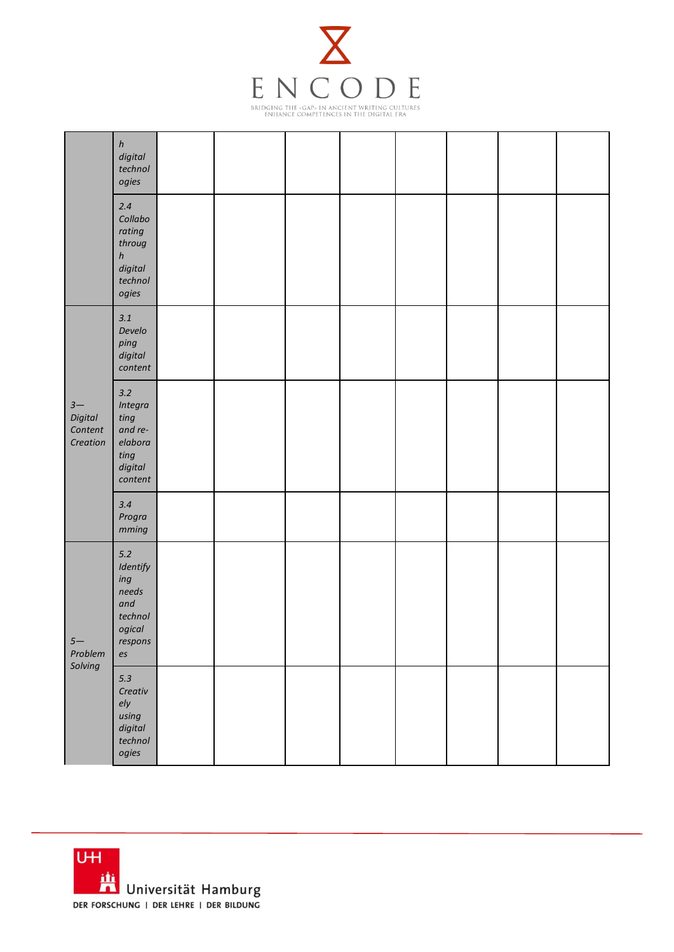

|                                               | $\boldsymbol{h}$<br>digital<br>technol<br>ogies                                       |  |  |  |  |
|-----------------------------------------------|---------------------------------------------------------------------------------------|--|--|--|--|
|                                               | 2.4<br>Collabo<br>rating<br>throug<br>$\boldsymbol{h}$<br>digital<br>technol<br>ogies |  |  |  |  |
| $3-$<br><b>Digital</b><br>Content<br>Creation | $3.1\,$<br>Develo<br>ping<br>digital<br>content                                       |  |  |  |  |
|                                               | $3.2$<br>Integra<br>ting<br>and re-<br>elabora<br>$\it ting$<br>digital<br>content    |  |  |  |  |
|                                               | 3.4<br>Progra<br>mming                                                                |  |  |  |  |
| $5-$<br>Problem<br>Solving                    | $5.2$<br>Identify<br>ing<br>needs<br>and<br>technol<br>ogical<br>respons<br>es        |  |  |  |  |
|                                               | $5.3$<br>Creativ<br>e/y<br>using<br>digital<br>technol<br>ogies                       |  |  |  |  |